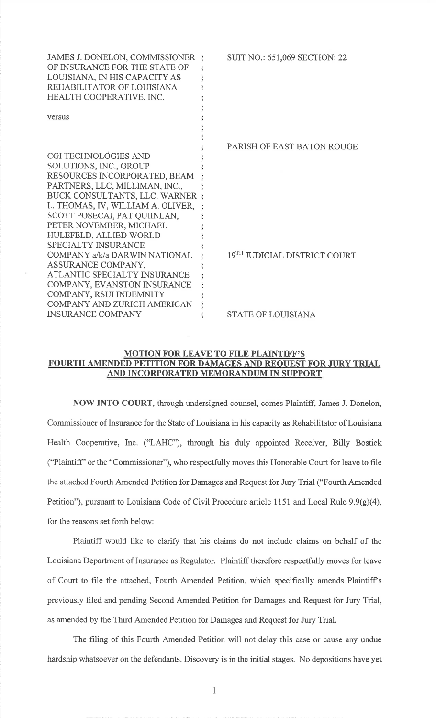| JAMES J. DONELON, COMMISSIONER<br>OF INSURANCE FOR THE STATE OF<br>LOUISIANA, IN HIS CAPACITY AS<br>REHABILITATOR OF LOUISIANA<br>HEALTH COOPERATIVE, INC.<br>versus                                                                                                                            | <b>SUIT NO.: 651,069 SECTION: 22</b>     |
|-------------------------------------------------------------------------------------------------------------------------------------------------------------------------------------------------------------------------------------------------------------------------------------------------|------------------------------------------|
| CGI TECHNOLOGIES AND<br>SOLUTIONS, INC., GROUP<br>RESOURCES INCORPORATED, BEAM<br>PARTNERS, LLC, MILLIMAN, INC.,<br>BUCK CONSULTANTS, LLC. WARNER :<br>L. THOMAS, IV, WILLIAM A. OLIVER,                                                                                                        | <b>PARISH OF EAST BATON ROUGE</b>        |
| SCOTT POSECAI, PAT QUIINLAN,<br>PETER NOVEMBER, MICHAEL<br>HULEFELD, ALLIED WORLD<br><b>SPECIALTY INSURANCE</b><br>COMPANY a/k/a DARWIN NATIONAL<br>ASSURANCE COMPANY,<br>ATLANTIC SPECIALTY INSURANCE<br>COMPANY, EVANSTON INSURANCE<br>COMPANY, RSUI INDEMNITY<br>COMPANY AND ZURICH AMERICAN | 19 <sup>TH</sup> JUDICIAL DISTRICT COURT |
| <b>INSURANCE COMPANY</b>                                                                                                                                                                                                                                                                        | <b>STATE OF LOUISIANA</b>                |

## MOTION FOR LEAVE TO FILE PLAINTIFF''S FOURTH AMENDED PETITION FOR DAMAGES AND REOUEST FOR JURY TRIALAND INCORPORATED MEMORANDUM IN SIIPPORT

NOW INTO COURT, through undersigned counsel, comes Plaintiff, James J. Donelon,Commissioner of Insurance for the State of Louisiana in his capacity as Rehabilitator of LouisianaHealth Cooperative, Inc. ("LAHC"), through his duly appointed Receiver, Billy Bostick("Plaintiff'or the "Commissioner"), who respectfully moves this Honorable Court for leave to filethe attached Fourth Amended Petition for Damages and Request for Jury Trial ("Fourth AmendedPetition"), pursuant to Louisiana Code of Civil Procedure article 1 151 and Local Rule 9.9(9)(4),for the reasons set forth below:

Plaintiff would like to clarify that his claims do not include claims on behalf of the Louisiana Department of Insurance as Regulator. Plaintiff therefore respectfully moves for leaveof Court to file the attached, Fourth Amended Petition, which specifically amends Plaintiff spreviously filed and pending Second Amended Petition for Damages and Request for Jury Trial,as amended by the Third Amended Petition for Damages and Request for Jury Trial.

The filing of this Fourth Amended Petition will not delay this case or cause any unduehardship whatsoever on the defendants. Discovery is in the initial stages. No depositions have yet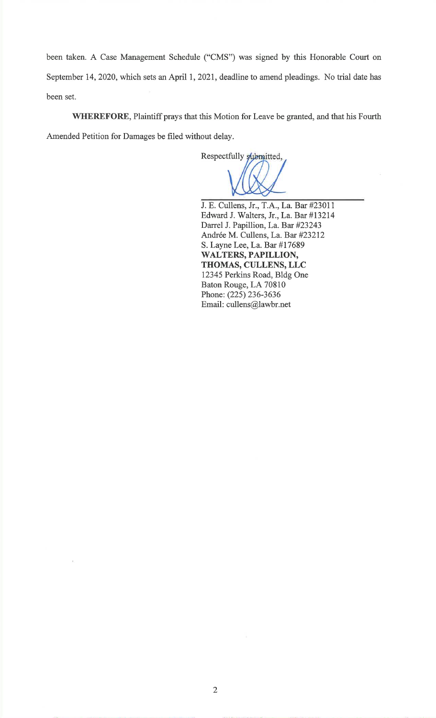been taken. A Case Management Schedule ("CMS") was signed by this Honorable Court onSeptember 14,2020, which sets an April l, 202I, deadline to amend pleadings. No trial date hasbeen set.

WHEREFORE, Plaintiff prays that this Motion for Leave be granted, and that his Fourth Amended Petition for Damages be filed without delay.

Respectfully submitted,

J. E. Cullens, Jr., T.A., La. Bar #23011 Edward J. Walters, Jr.,La.Bar #13214Darrel J. Papillion, La. Bar #23243Andrée M. Cullens, La. Bar #23212 S. Layne Lee,La.Bar #17689WALTERS, PAPILLION, THOMAS, CULLENS, LLC 12345 Perkins Road, Bldg OneBaton Rouge, LA 70810 Phone: (225) 236-3636Email: cullens@lawbr.net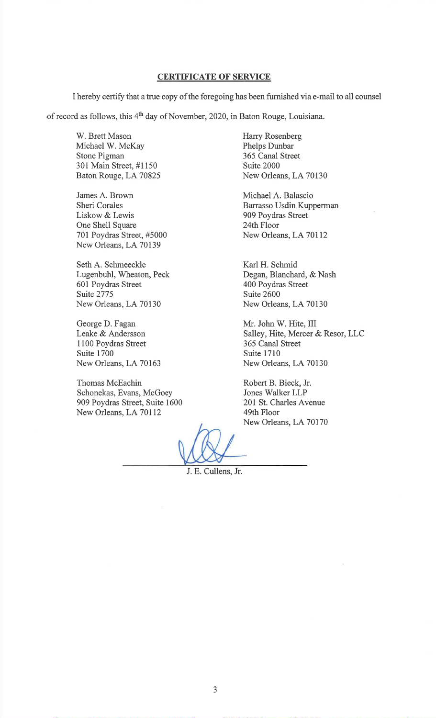## CERTIFICATE OF SERVICE

I hereby certify that a true copy of the foregoing has been furnished via e-mail to all counsel

of record as follows, this 4<sup>th</sup> day of November, 2020, in Baton Rouge, Louisiana.

W. Brett Mason Michael W. McKayStone Pigman 301 Main Street, #1150Baton Rouge, LA 70825

James A. BrownSheri Corales Liskow & Lewis One Shell Square 701 Poydras Street, #5000New Orleans, LA 70139

Seth A. Schmeeckle Lugenbuhl, Wheaton, Peck601 Poydras StreetSuite 2775 New Orleans, LA 70130

George D. Fagan Leake & Andersson 1 100 Poydras StreetSuite 1700 New Orleans, LA 70163

Thomas McEachin Schonekas, Evans, McGoey 909 Poydras Street, Suite 1600New Orleans, LA 70112

Harry RosenbergPhelps Dunbar 365 Canal StreetSuite 2000New Orleans, LA 70130

Michael A. Balascio Barrasso Usdin Kupperman909 Poydras Street24th FloorNew Orleans, LA 70112

Karl H. Schmid Degan, Blanchard, & Nash400 Poydras StreetSuite 2600New Orleans, LA 70130

Mr. John W. Hite, IIISalley, Hite, Mercer & Resor, LLC 365 Canal StreetSuite 1710New Orleans, LA 70130

Robert B. Bieck, Jr.Jones Walker LLP 201 St. Charles Avenue49th FloorNew Orleans, LA 70170

J. E. Cullens, Jr.